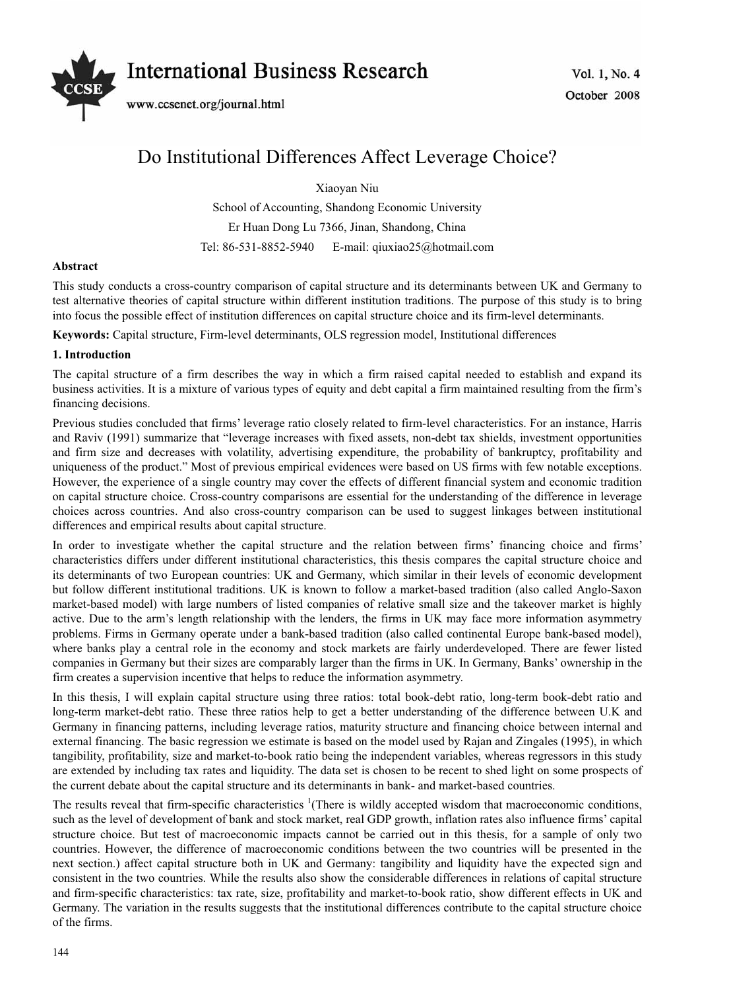

# Do Institutional Differences Affect Leverage Choice?

Xiaoyan Niu

School of Accounting, Shandong Economic University Er Huan Dong Lu 7366, Jinan, Shandong, China Tel: 86-531-8852-5940 E-mail: qiuxiao25@hotmail.com

# **Abstract**

This study conducts a cross-country comparison of capital structure and its determinants between UK and Germany to test alternative theories of capital structure within different institution traditions. The purpose of this study is to bring into focus the possible effect of institution differences on capital structure choice and its firm-level determinants.

**Keywords:** Capital structure, Firm-level determinants, OLS regression model, Institutional differences

# **1. Introduction**

The capital structure of a firm describes the way in which a firm raised capital needed to establish and expand its business activities. It is a mixture of various types of equity and debt capital a firm maintained resulting from the firm's financing decisions.

Previous studies concluded that firms' leverage ratio closely related to firm-level characteristics. For an instance, Harris and Raviv (1991) summarize that "leverage increases with fixed assets, non-debt tax shields, investment opportunities and firm size and decreases with volatility, advertising expenditure, the probability of bankruptcy, profitability and uniqueness of the product." Most of previous empirical evidences were based on US firms with few notable exceptions. However, the experience of a single country may cover the effects of different financial system and economic tradition on capital structure choice. Cross-country comparisons are essential for the understanding of the difference in leverage choices across countries. And also cross-country comparison can be used to suggest linkages between institutional differences and empirical results about capital structure.

In order to investigate whether the capital structure and the relation between firms' financing choice and firms' characteristics differs under different institutional characteristics, this thesis compares the capital structure choice and its determinants of two European countries: UK and Germany, which similar in their levels of economic development but follow different institutional traditions. UK is known to follow a market-based tradition (also called Anglo-Saxon market-based model) with large numbers of listed companies of relative small size and the takeover market is highly active. Due to the arm's length relationship with the lenders, the firms in UK may face more information asymmetry problems. Firms in Germany operate under a bank-based tradition (also called continental Europe bank-based model), where banks play a central role in the economy and stock markets are fairly underdeveloped. There are fewer listed companies in Germany but their sizes are comparably larger than the firms in UK. In Germany, Banks' ownership in the firm creates a supervision incentive that helps to reduce the information asymmetry.

In this thesis, I will explain capital structure using three ratios: total book-debt ratio, long-term book-debt ratio and long-term market-debt ratio. These three ratios help to get a better understanding of the difference between U.K and Germany in financing patterns, including leverage ratios, maturity structure and financing choice between internal and external financing. The basic regression we estimate is based on the model used by Rajan and Zingales (1995), in which tangibility, profitability, size and market-to-book ratio being the independent variables, whereas regressors in this study are extended by including tax rates and liquidity. The data set is chosen to be recent to shed light on some prospects of the current debate about the capital structure and its determinants in bank- and market-based countries.

The results reveal that firm-specific characteristics  ${}^{1}$ (There is wildly accepted wisdom that macroeconomic conditions, such as the level of development of bank and stock market, real GDP growth, inflation rates also influence firms' capital structure choice. But test of macroeconomic impacts cannot be carried out in this thesis, for a sample of only two countries. However, the difference of macroeconomic conditions between the two countries will be presented in the next section.) affect capital structure both in UK and Germany: tangibility and liquidity have the expected sign and consistent in the two countries. While the results also show the considerable differences in relations of capital structure and firm-specific characteristics: tax rate, size, profitability and market-to-book ratio, show different effects in UK and Germany. The variation in the results suggests that the institutional differences contribute to the capital structure choice of the firms.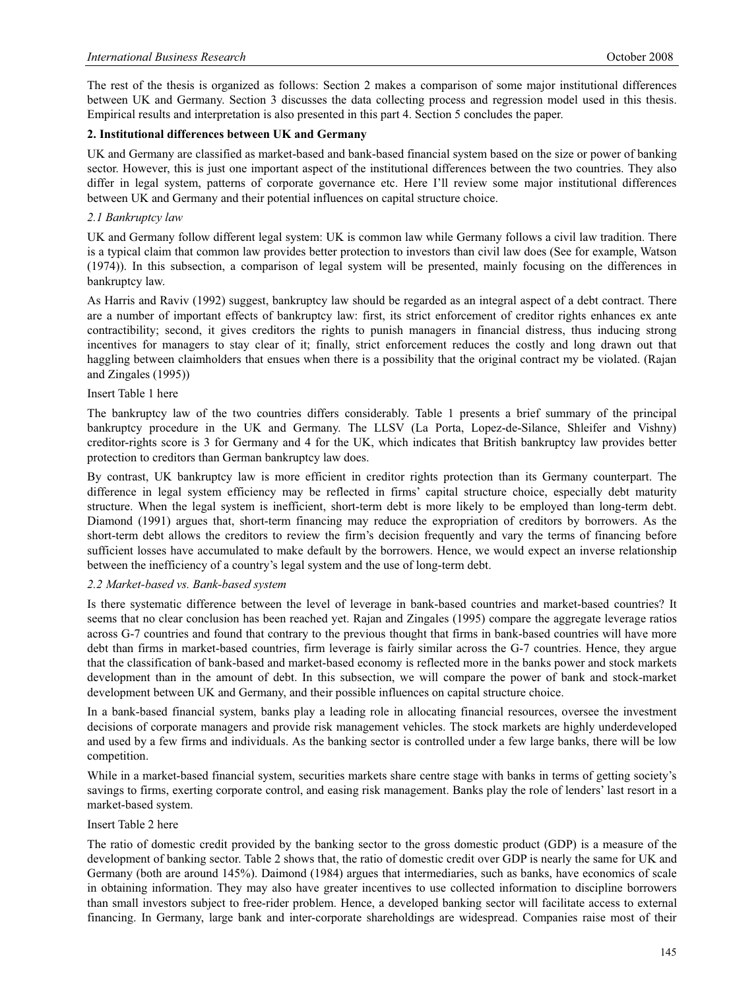The rest of the thesis is organized as follows: Section 2 makes a comparison of some major institutional differences between UK and Germany. Section 3 discusses the data collecting process and regression model used in this thesis. Empirical results and interpretation is also presented in this part 4. Section 5 concludes the paper.

# **2. Institutional differences between UK and Germany**

UK and Germany are classified as market-based and bank-based financial system based on the size or power of banking sector. However, this is just one important aspect of the institutional differences between the two countries. They also differ in legal system, patterns of corporate governance etc. Here I'll review some major institutional differences between UK and Germany and their potential influences on capital structure choice.

## *2.1 Bankruptcy law*

UK and Germany follow different legal system: UK is common law while Germany follows a civil law tradition. There is a typical claim that common law provides better protection to investors than civil law does (See for example, Watson (1974)). In this subsection, a comparison of legal system will be presented, mainly focusing on the differences in bankruptcy law.

As Harris and Raviv (1992) suggest, bankruptcy law should be regarded as an integral aspect of a debt contract. There are a number of important effects of bankruptcy law: first, its strict enforcement of creditor rights enhances ex ante contractibility; second, it gives creditors the rights to punish managers in financial distress, thus inducing strong incentives for managers to stay clear of it; finally, strict enforcement reduces the costly and long drawn out that haggling between claimholders that ensues when there is a possibility that the original contract my be violated. (Rajan and Zingales (1995))

## Insert Table 1 here

The bankruptcy law of the two countries differs considerably. Table 1 presents a brief summary of the principal bankruptcy procedure in the UK and Germany. The LLSV (La Porta, Lopez-de-Silance, Shleifer and Vishny) creditor-rights score is 3 for Germany and 4 for the UK, which indicates that British bankruptcy law provides better protection to creditors than German bankruptcy law does.

By contrast, UK bankruptcy law is more efficient in creditor rights protection than its Germany counterpart. The difference in legal system efficiency may be reflected in firms' capital structure choice, especially debt maturity structure. When the legal system is inefficient, short-term debt is more likely to be employed than long-term debt. Diamond (1991) argues that, short-term financing may reduce the expropriation of creditors by borrowers. As the short-term debt allows the creditors to review the firm's decision frequently and vary the terms of financing before sufficient losses have accumulated to make default by the borrowers. Hence, we would expect an inverse relationship between the inefficiency of a country's legal system and the use of long-term debt.

## *2.2 Market-based vs. Bank-based system*

Is there systematic difference between the level of leverage in bank-based countries and market-based countries? It seems that no clear conclusion has been reached yet. Rajan and Zingales (1995) compare the aggregate leverage ratios across G-7 countries and found that contrary to the previous thought that firms in bank-based countries will have more debt than firms in market-based countries, firm leverage is fairly similar across the G-7 countries. Hence, they argue that the classification of bank-based and market-based economy is reflected more in the banks power and stock markets development than in the amount of debt. In this subsection, we will compare the power of bank and stock-market development between UK and Germany, and their possible influences on capital structure choice.

In a bank-based financial system, banks play a leading role in allocating financial resources, oversee the investment decisions of corporate managers and provide risk management vehicles. The stock markets are highly underdeveloped and used by a few firms and individuals. As the banking sector is controlled under a few large banks, there will be low competition.

While in a market-based financial system, securities markets share centre stage with banks in terms of getting society's savings to firms, exerting corporate control, and easing risk management. Banks play the role of lenders' last resort in a market-based system.

## Insert Table 2 here

The ratio of domestic credit provided by the banking sector to the gross domestic product (GDP) is a measure of the development of banking sector. Table 2 shows that, the ratio of domestic credit over GDP is nearly the same for UK and Germany (both are around 145%). Daimond (1984) argues that intermediaries, such as banks, have economics of scale in obtaining information. They may also have greater incentives to use collected information to discipline borrowers than small investors subject to free-rider problem. Hence, a developed banking sector will facilitate access to external financing. In Germany, large bank and inter-corporate shareholdings are widespread. Companies raise most of their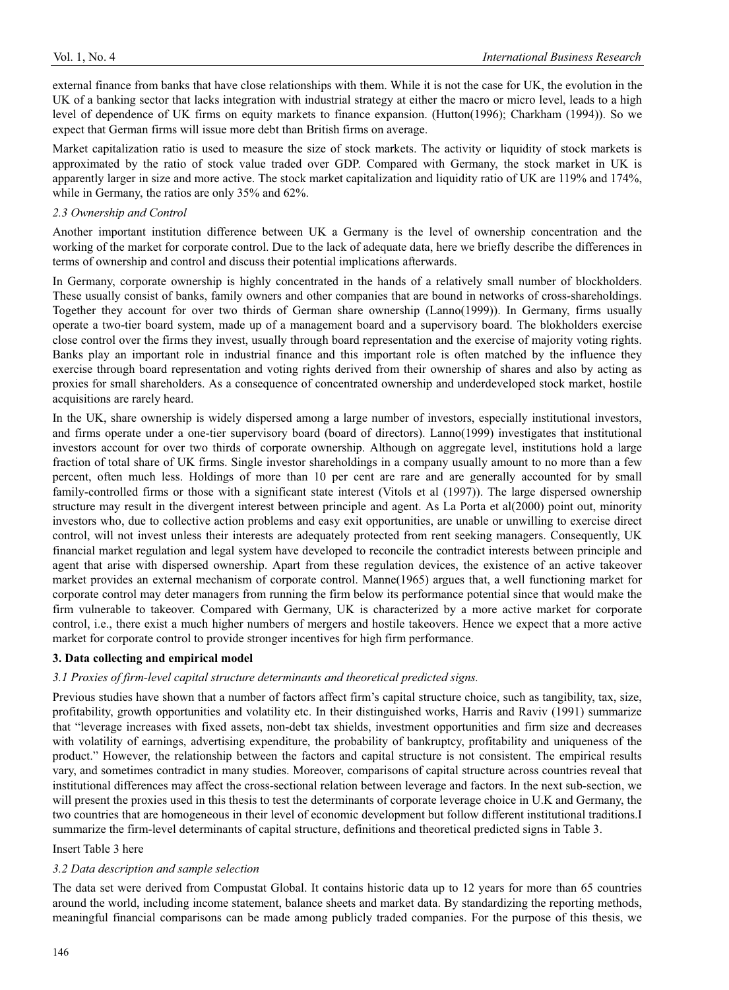external finance from banks that have close relationships with them. While it is not the case for UK, the evolution in the UK of a banking sector that lacks integration with industrial strategy at either the macro or micro level, leads to a high level of dependence of UK firms on equity markets to finance expansion. (Hutton(1996); Charkham (1994)). So we expect that German firms will issue more debt than British firms on average.

Market capitalization ratio is used to measure the size of stock markets. The activity or liquidity of stock markets is approximated by the ratio of stock value traded over GDP. Compared with Germany, the stock market in UK is apparently larger in size and more active. The stock market capitalization and liquidity ratio of UK are 119% and 174%, while in Germany, the ratios are only 35% and 62%.

## *2.3 Ownership and Control*

Another important institution difference between UK a Germany is the level of ownership concentration and the working of the market for corporate control. Due to the lack of adequate data, here we briefly describe the differences in terms of ownership and control and discuss their potential implications afterwards.

In Germany, corporate ownership is highly concentrated in the hands of a relatively small number of blockholders. These usually consist of banks, family owners and other companies that are bound in networks of cross-shareholdings. Together they account for over two thirds of German share ownership (Lanno(1999)). In Germany, firms usually operate a two-tier board system, made up of a management board and a supervisory board. The blokholders exercise close control over the firms they invest, usually through board representation and the exercise of majority voting rights. Banks play an important role in industrial finance and this important role is often matched by the influence they exercise through board representation and voting rights derived from their ownership of shares and also by acting as proxies for small shareholders. As a consequence of concentrated ownership and underdeveloped stock market, hostile acquisitions are rarely heard.

In the UK, share ownership is widely dispersed among a large number of investors, especially institutional investors, and firms operate under a one-tier supervisory board (board of directors). Lanno(1999) investigates that institutional investors account for over two thirds of corporate ownership. Although on aggregate level, institutions hold a large fraction of total share of UK firms. Single investor shareholdings in a company usually amount to no more than a few percent, often much less. Holdings of more than 10 per cent are rare and are generally accounted for by small family-controlled firms or those with a significant state interest (Vitols et al (1997)). The large dispersed ownership structure may result in the divergent interest between principle and agent. As La Porta et al(2000) point out, minority investors who, due to collective action problems and easy exit opportunities, are unable or unwilling to exercise direct control, will not invest unless their interests are adequately protected from rent seeking managers. Consequently, UK financial market regulation and legal system have developed to reconcile the contradict interests between principle and agent that arise with dispersed ownership. Apart from these regulation devices, the existence of an active takeover market provides an external mechanism of corporate control. Manne(1965) argues that, a well functioning market for corporate control may deter managers from running the firm below its performance potential since that would make the firm vulnerable to takeover. Compared with Germany, UK is characterized by a more active market for corporate control, i.e., there exist a much higher numbers of mergers and hostile takeovers. Hence we expect that a more active market for corporate control to provide stronger incentives for high firm performance.

# **3. Data collecting and empirical model**

# *3.1 Proxies of firm-level capital structure determinants and theoretical predicted signs.*

Previous studies have shown that a number of factors affect firm's capital structure choice, such as tangibility, tax, size, profitability, growth opportunities and volatility etc. In their distinguished works, Harris and Raviv (1991) summarize that "leverage increases with fixed assets, non-debt tax shields, investment opportunities and firm size and decreases with volatility of earnings, advertising expenditure, the probability of bankruptcy, profitability and uniqueness of the product." However, the relationship between the factors and capital structure is not consistent. The empirical results vary, and sometimes contradict in many studies. Moreover, comparisons of capital structure across countries reveal that institutional differences may affect the cross-sectional relation between leverage and factors. In the next sub-section, we will present the proxies used in this thesis to test the determinants of corporate leverage choice in U.K and Germany, the two countries that are homogeneous in their level of economic development but follow different institutional traditions.I summarize the firm-level determinants of capital structure, definitions and theoretical predicted signs in Table 3.

## Insert Table 3 here

## *3.2 Data description and sample selection*

The data set were derived from Compustat Global. It contains historic data up to 12 years for more than 65 countries around the world, including income statement, balance sheets and market data. By standardizing the reporting methods, meaningful financial comparisons can be made among publicly traded companies. For the purpose of this thesis, we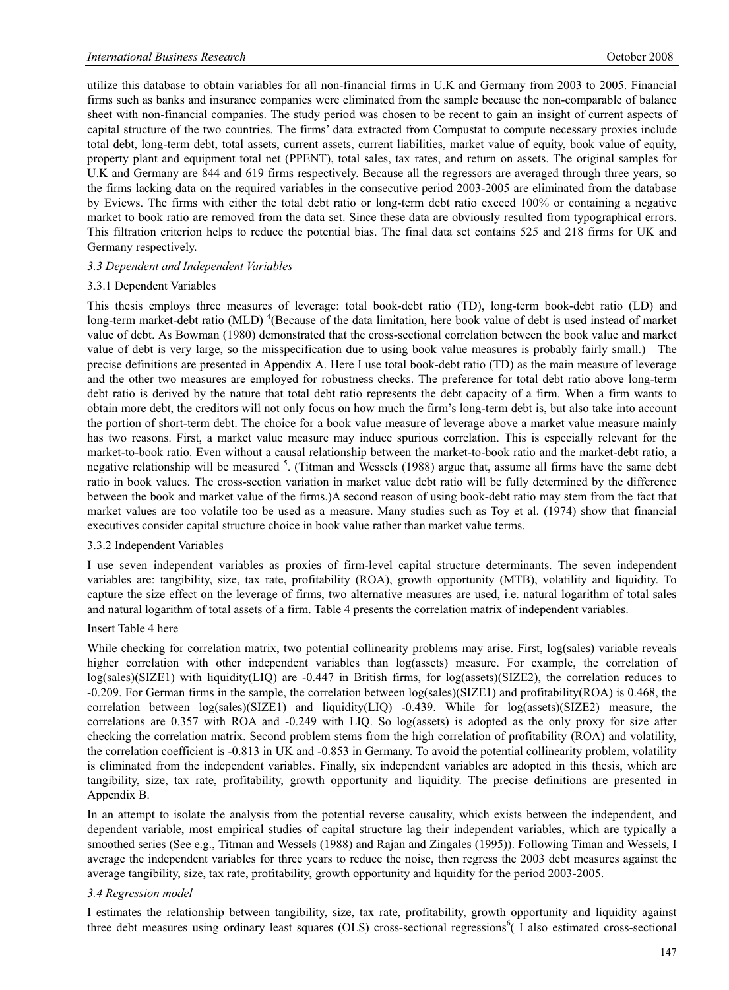utilize this database to obtain variables for all non-financial firms in U.K and Germany from 2003 to 2005. Financial firms such as banks and insurance companies were eliminated from the sample because the non-comparable of balance sheet with non-financial companies. The study period was chosen to be recent to gain an insight of current aspects of capital structure of the two countries. The firms' data extracted from Compustat to compute necessary proxies include total debt, long-term debt, total assets, current assets, current liabilities, market value of equity, book value of equity, property plant and equipment total net (PPENT), total sales, tax rates, and return on assets. The original samples for U.K and Germany are 844 and 619 firms respectively. Because all the regressors are averaged through three years, so the firms lacking data on the required variables in the consecutive period 2003-2005 are eliminated from the database by Eviews. The firms with either the total debt ratio or long-term debt ratio exceed 100% or containing a negative market to book ratio are removed from the data set. Since these data are obviously resulted from typographical errors. This filtration criterion helps to reduce the potential bias. The final data set contains 525 and 218 firms for UK and Germany respectively.

#### *3.3 Dependent and Independent Variables*

#### 3.3.1 Dependent Variables

This thesis employs three measures of leverage: total book-debt ratio (TD), long-term book-debt ratio (LD) and long-term market-debt ratio (MLD)<sup>4</sup>(Because of the data limitation, here book value of debt is used instead of market value of debt. As Bowman (1980) demonstrated that the cross-sectional correlation between the book value and market value of debt is very large, so the misspecification due to using book value measures is probably fairly small.) The precise definitions are presented in Appendix A. Here I use total book-debt ratio (TD) as the main measure of leverage and the other two measures are employed for robustness checks. The preference for total debt ratio above long-term debt ratio is derived by the nature that total debt ratio represents the debt capacity of a firm. When a firm wants to obtain more debt, the creditors will not only focus on how much the firm's long-term debt is, but also take into account the portion of short-term debt. The choice for a book value measure of leverage above a market value measure mainly has two reasons. First, a market value measure may induce spurious correlation. This is especially relevant for the market-to-book ratio. Even without a causal relationship between the market-to-book ratio and the market-debt ratio, a negative relationship will be measured <sup>5</sup>. (Titman and Wessels (1988) argue that, assume all firms have the same debt ratio in book values. The cross-section variation in market value debt ratio will be fully determined by the difference between the book and market value of the firms.)A second reason of using book-debt ratio may stem from the fact that market values are too volatile too be used as a measure. Many studies such as Toy et al. (1974) show that financial executives consider capital structure choice in book value rather than market value terms.

#### 3.3.2 Independent Variables

I use seven independent variables as proxies of firm-level capital structure determinants. The seven independent variables are: tangibility, size, tax rate, profitability (ROA), growth opportunity (MTB), volatility and liquidity. To capture the size effect on the leverage of firms, two alternative measures are used, i.e. natural logarithm of total sales and natural logarithm of total assets of a firm. Table 4 presents the correlation matrix of independent variables.

#### Insert Table 4 here

While checking for correlation matrix, two potential collinearity problems may arise. First, log(sales) variable reveals higher correlation with other independent variables than log(assets) measure. For example, the correlation of log(sales)(SIZE1) with liquidity(LIQ) are -0.447 in British firms, for log(assets)(SIZE2), the correlation reduces to -0.209. For German firms in the sample, the correlation between log(sales)(SIZE1) and profitability(ROA) is 0.468, the correlation between log(sales)(SIZE1) and liquidity(LIQ) -0.439. While for log(assets)(SIZE2) measure, the correlations are 0.357 with ROA and -0.249 with LIQ. So log(assets) is adopted as the only proxy for size after checking the correlation matrix. Second problem stems from the high correlation of profitability (ROA) and volatility, the correlation coefficient is -0.813 in UK and -0.853 in Germany. To avoid the potential collinearity problem, volatility is eliminated from the independent variables. Finally, six independent variables are adopted in this thesis, which are tangibility, size, tax rate, profitability, growth opportunity and liquidity. The precise definitions are presented in Appendix B.

In an attempt to isolate the analysis from the potential reverse causality, which exists between the independent, and dependent variable, most empirical studies of capital structure lag their independent variables, which are typically a smoothed series (See e.g., Titman and Wessels (1988) and Rajan and Zingales (1995)). Following Timan and Wessels, I average the independent variables for three years to reduce the noise, then regress the 2003 debt measures against the average tangibility, size, tax rate, profitability, growth opportunity and liquidity for the period 2003-2005.

#### *3.4 Regression model*

I estimates the relationship between tangibility, size, tax rate, profitability, growth opportunity and liquidity against three debt measures using ordinary least squares (OLS) cross-sectional regressions<sup>6</sup>( I also estimated cross-sectional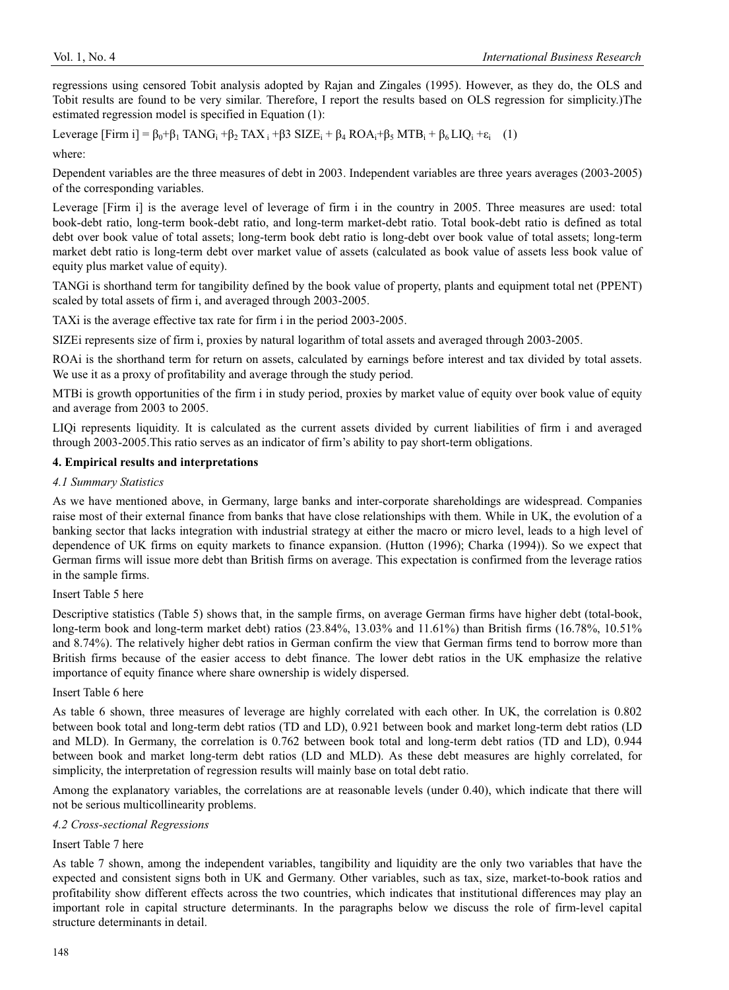regressions using censored Tobit analysis adopted by Rajan and Zingales (1995). However, as they do, the OLS and Tobit results are found to be very similar. Therefore, I report the results based on OLS regression for simplicity.)The estimated regression model is specified in Equation (1):

Leverage [Firm i] =  $\beta_0 + \beta_1$  TANG<sub>i</sub> + $\beta_2$  TAX<sub>i</sub> + $\beta_3$  SIZE<sub>i</sub> +  $\beta_4$  ROA<sub>i</sub>+ $\beta_5$  MTB<sub>i</sub> +  $\beta_6$  LIQ<sub>i</sub> + $\varepsilon_i$  (1) where:

Dependent variables are the three measures of debt in 2003. Independent variables are three years averages (2003-2005) of the corresponding variables.

Leverage [Firm i] is the average level of leverage of firm i in the country in 2005. Three measures are used: total book-debt ratio, long-term book-debt ratio, and long-term market-debt ratio. Total book-debt ratio is defined as total debt over book value of total assets; long-term book debt ratio is long-debt over book value of total assets; long-term market debt ratio is long-term debt over market value of assets (calculated as book value of assets less book value of equity plus market value of equity).

TANGi is shorthand term for tangibility defined by the book value of property, plants and equipment total net (PPENT) scaled by total assets of firm i, and averaged through 2003-2005.

TAXi is the average effective tax rate for firm i in the period 2003-2005.

SIZEi represents size of firm i, proxies by natural logarithm of total assets and averaged through 2003-2005.

ROAi is the shorthand term for return on assets, calculated by earnings before interest and tax divided by total assets. We use it as a proxy of profitability and average through the study period.

MTBi is growth opportunities of the firm i in study period, proxies by market value of equity over book value of equity and average from 2003 to 2005.

LIQi represents liquidity. It is calculated as the current assets divided by current liabilities of firm i and averaged through 2003-2005.This ratio serves as an indicator of firm's ability to pay short-term obligations.

# **4. Empirical results and interpretations**

# *4.1 Summary Statistics*

As we have mentioned above, in Germany, large banks and inter-corporate shareholdings are widespread. Companies raise most of their external finance from banks that have close relationships with them. While in UK, the evolution of a banking sector that lacks integration with industrial strategy at either the macro or micro level, leads to a high level of dependence of UK firms on equity markets to finance expansion. (Hutton (1996); Charka (1994)). So we expect that German firms will issue more debt than British firms on average. This expectation is confirmed from the leverage ratios in the sample firms.

# Insert Table 5 here

Descriptive statistics (Table 5) shows that, in the sample firms, on average German firms have higher debt (total-book, long-term book and long-term market debt) ratios (23.84%, 13.03% and 11.61%) than British firms (16.78%, 10.51% and 8.74%). The relatively higher debt ratios in German confirm the view that German firms tend to borrow more than British firms because of the easier access to debt finance. The lower debt ratios in the UK emphasize the relative importance of equity finance where share ownership is widely dispersed.

## Insert Table 6 here

As table 6 shown, three measures of leverage are highly correlated with each other. In UK, the correlation is 0.802 between book total and long-term debt ratios (TD and LD), 0.921 between book and market long-term debt ratios (LD and MLD). In Germany, the correlation is 0.762 between book total and long-term debt ratios (TD and LD), 0.944 between book and market long-term debt ratios (LD and MLD). As these debt measures are highly correlated, for simplicity, the interpretation of regression results will mainly base on total debt ratio.

Among the explanatory variables, the correlations are at reasonable levels (under 0.40), which indicate that there will not be serious multicollinearity problems.

# *4.2 Cross-sectional Regressions*

# Insert Table 7 here

As table 7 shown, among the independent variables, tangibility and liquidity are the only two variables that have the expected and consistent signs both in UK and Germany. Other variables, such as tax, size, market-to-book ratios and profitability show different effects across the two countries, which indicates that institutional differences may play an important role in capital structure determinants. In the paragraphs below we discuss the role of firm-level capital structure determinants in detail.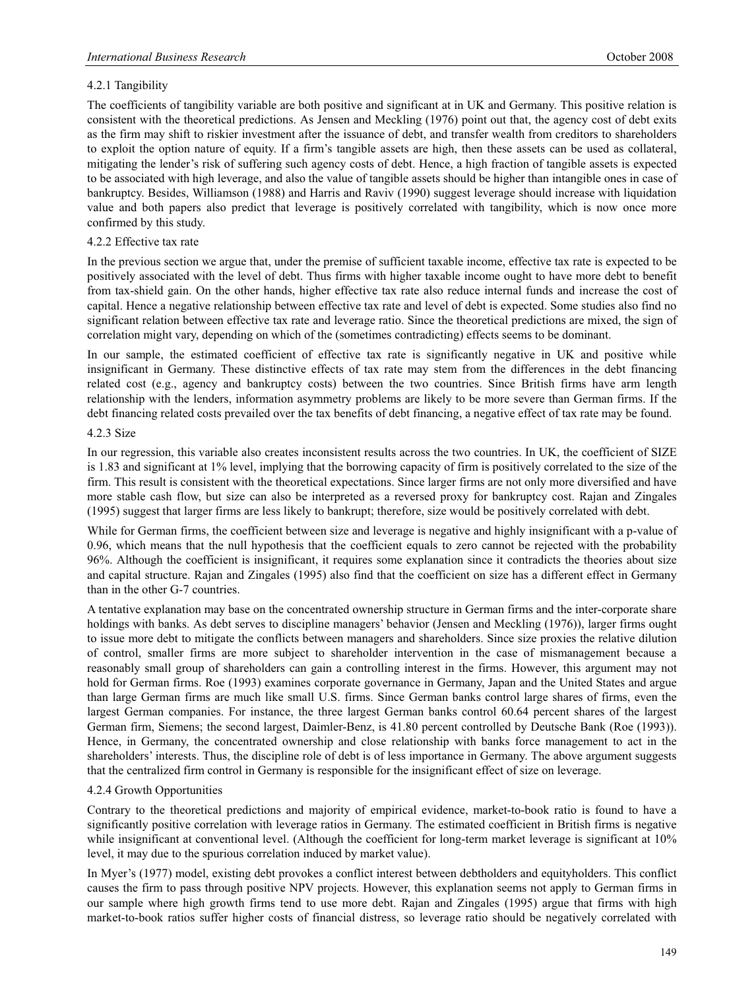# 4.2.1 Tangibility

The coefficients of tangibility variable are both positive and significant at in UK and Germany. This positive relation is consistent with the theoretical predictions. As Jensen and Meckling (1976) point out that, the agency cost of debt exits as the firm may shift to riskier investment after the issuance of debt, and transfer wealth from creditors to shareholders to exploit the option nature of equity. If a firm's tangible assets are high, then these assets can be used as collateral, mitigating the lender's risk of suffering such agency costs of debt. Hence, a high fraction of tangible assets is expected to be associated with high leverage, and also the value of tangible assets should be higher than intangible ones in case of bankruptcy. Besides, Williamson (1988) and Harris and Raviv (1990) suggest leverage should increase with liquidation value and both papers also predict that leverage is positively correlated with tangibility, which is now once more confirmed by this study.

# 4.2.2 Effective tax rate

In the previous section we argue that, under the premise of sufficient taxable income, effective tax rate is expected to be positively associated with the level of debt. Thus firms with higher taxable income ought to have more debt to benefit from tax-shield gain. On the other hands, higher effective tax rate also reduce internal funds and increase the cost of capital. Hence a negative relationship between effective tax rate and level of debt is expected. Some studies also find no significant relation between effective tax rate and leverage ratio. Since the theoretical predictions are mixed, the sign of correlation might vary, depending on which of the (sometimes contradicting) effects seems to be dominant.

In our sample, the estimated coefficient of effective tax rate is significantly negative in UK and positive while insignificant in Germany. These distinctive effects of tax rate may stem from the differences in the debt financing related cost (e.g., agency and bankruptcy costs) between the two countries. Since British firms have arm length relationship with the lenders, information asymmetry problems are likely to be more severe than German firms. If the debt financing related costs prevailed over the tax benefits of debt financing, a negative effect of tax rate may be found.

# 4.2.3 Size

In our regression, this variable also creates inconsistent results across the two countries. In UK, the coefficient of SIZE is 1.83 and significant at 1% level, implying that the borrowing capacity of firm is positively correlated to the size of the firm. This result is consistent with the theoretical expectations. Since larger firms are not only more diversified and have more stable cash flow, but size can also be interpreted as a reversed proxy for bankruptcy cost. Rajan and Zingales (1995) suggest that larger firms are less likely to bankrupt; therefore, size would be positively correlated with debt.

While for German firms, the coefficient between size and leverage is negative and highly insignificant with a p-value of 0.96, which means that the null hypothesis that the coefficient equals to zero cannot be rejected with the probability 96%. Although the coefficient is insignificant, it requires some explanation since it contradicts the theories about size and capital structure. Rajan and Zingales (1995) also find that the coefficient on size has a different effect in Germany than in the other G-7 countries.

A tentative explanation may base on the concentrated ownership structure in German firms and the inter-corporate share holdings with banks. As debt serves to discipline managers' behavior (Jensen and Meckling (1976)), larger firms ought to issue more debt to mitigate the conflicts between managers and shareholders. Since size proxies the relative dilution of control, smaller firms are more subject to shareholder intervention in the case of mismanagement because a reasonably small group of shareholders can gain a controlling interest in the firms. However, this argument may not hold for German firms. Roe (1993) examines corporate governance in Germany, Japan and the United States and argue than large German firms are much like small U.S. firms. Since German banks control large shares of firms, even the largest German companies. For instance, the three largest German banks control 60.64 percent shares of the largest German firm, Siemens; the second largest, Daimler-Benz, is 41.80 percent controlled by Deutsche Bank (Roe (1993)). Hence, in Germany, the concentrated ownership and close relationship with banks force management to act in the shareholders' interests. Thus, the discipline role of debt is of less importance in Germany. The above argument suggests that the centralized firm control in Germany is responsible for the insignificant effect of size on leverage.

## 4.2.4 Growth Opportunities

Contrary to the theoretical predictions and majority of empirical evidence, market-to-book ratio is found to have a significantly positive correlation with leverage ratios in Germany. The estimated coefficient in British firms is negative while insignificant at conventional level. (Although the coefficient for long-term market leverage is significant at 10% level, it may due to the spurious correlation induced by market value).

In Myer's (1977) model, existing debt provokes a conflict interest between debtholders and equityholders. This conflict causes the firm to pass through positive NPV projects. However, this explanation seems not apply to German firms in our sample where high growth firms tend to use more debt. Rajan and Zingales (1995) argue that firms with high market-to-book ratios suffer higher costs of financial distress, so leverage ratio should be negatively correlated with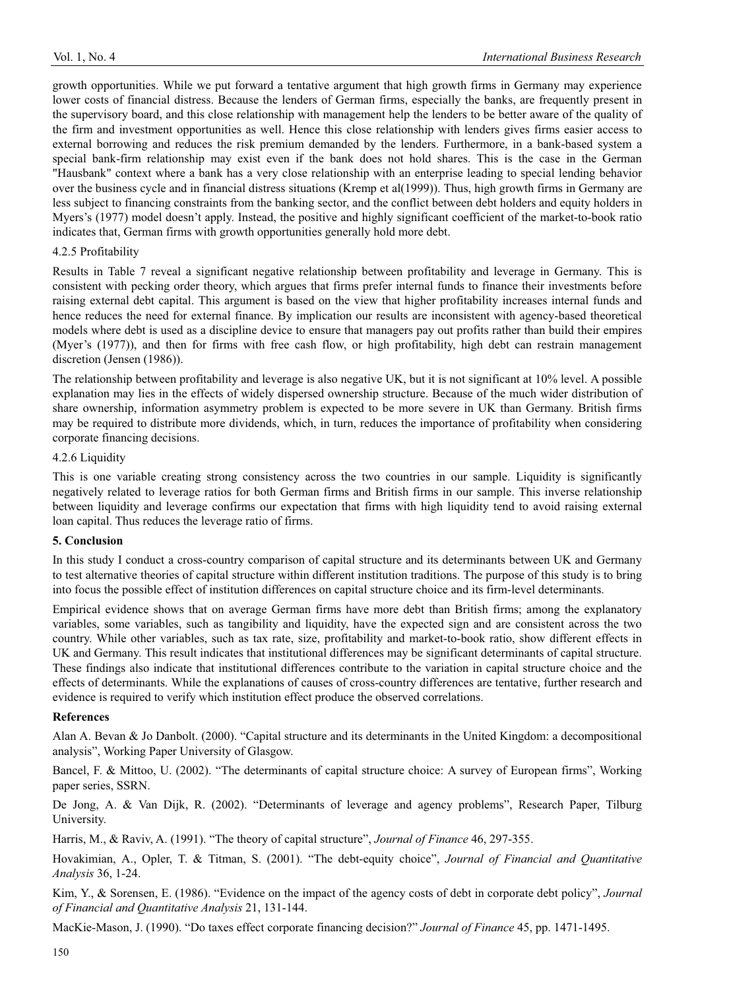growth opportunities. While we put forward a tentative argument that high growth firms in Germany may experience lower costs of financial distress. Because the lenders of German firms, especially the banks, are frequently present in the supervisory board, and this close relationship with management help the lenders to be better aware of the quality of the firm and investment opportunities as well. Hence this close relationship with lenders gives firms easier access to external borrowing and reduces the risk premium demanded by the lenders. Furthermore, in a bank-based system a special bank-firm relationship may exist even if the bank does not hold shares. This is the case in the German "Hausbank" context where a bank has a very close relationship with an enterprise leading to special lending behavior over the business cycle and in financial distress situations (Kremp et al(1999)). Thus, high growth firms in Germany are less subject to financing constraints from the banking sector, and the conflict between debt holders and equity holders in Myers's (1977) model doesn't apply. Instead, the positive and highly significant coefficient of the market-to-book ratio indicates that, German firms with growth opportunities generally hold more debt.

# 4.2.5 Profitability

Results in Table 7 reveal a significant negative relationship between profitability and leverage in Germany. This is consistent with pecking order theory, which argues that firms prefer internal funds to finance their investments before raising external debt capital. This argument is based on the view that higher profitability increases internal funds and hence reduces the need for external finance. By implication our results are inconsistent with agency-based theoretical models where debt is used as a discipline device to ensure that managers pay out profits rather than build their empires (Myer's (1977)), and then for firms with free cash flow, or high profitability, high debt can restrain management discretion (Jensen (1986)).

The relationship between profitability and leverage is also negative UK, but it is not significant at 10% level. A possible explanation may lies in the effects of widely dispersed ownership structure. Because of the much wider distribution of share ownership, information asymmetry problem is expected to be more severe in UK than Germany. British firms may be required to distribute more dividends, which, in turn, reduces the importance of profitability when considering corporate financing decisions.

## 4.2.6 Liquidity

This is one variable creating strong consistency across the two countries in our sample. Liquidity is significantly negatively related to leverage ratios for both German firms and British firms in our sample. This inverse relationship between liquidity and leverage confirms our expectation that firms with high liquidity tend to avoid raising external loan capital. Thus reduces the leverage ratio of firms.

## **5. Conclusion**

In this study I conduct a cross-country comparison of capital structure and its determinants between UK and Germany to test alternative theories of capital structure within different institution traditions. The purpose of this study is to bring into focus the possible effect of institution differences on capital structure choice and its firm-level determinants.

Empirical evidence shows that on average German firms have more debt than British firms; among the explanatory variables, some variables, such as tangibility and liquidity, have the expected sign and are consistent across the two country. While other variables, such as tax rate, size, profitability and market-to-book ratio, show different effects in UK and Germany. This result indicates that institutional differences may be significant determinants of capital structure. These findings also indicate that institutional differences contribute to the variation in capital structure choice and the effects of determinants. While the explanations of causes of cross-country differences are tentative, further research and evidence is required to verify which institution effect produce the observed correlations.

## **References**

Alan A. Bevan & Jo Danbolt. (2000). "Capital structure and its determinants in the United Kingdom: a decompositional analysis", Working Paper University of Glasgow.

Bancel, F. & Mittoo, U. (2002). "The determinants of capital structure choice: A survey of European firms", Working paper series, SSRN.

De Jong, A. & Van Dijk, R. (2002). "Determinants of leverage and agency problems", Research Paper, Tilburg University.

Harris, M., & Raviv, A. (1991). "The theory of capital structure", *Journal of Finance* 46, 297-355.

Hovakimian, A., Opler, T. & Titman, S. (2001). "The debt-equity choice", *Journal of Financial and Quantitative Analysis* 36, 1-24.

Kim, Y., & Sorensen, E. (1986). "Evidence on the impact of the agency costs of debt in corporate debt policy", *Journal of Financial and Quantitative Analysis* 21, 131-144.

MacKie-Mason, J. (1990). "Do taxes effect corporate financing decision?" *Journal of Finance* 45, pp. 1471-1495.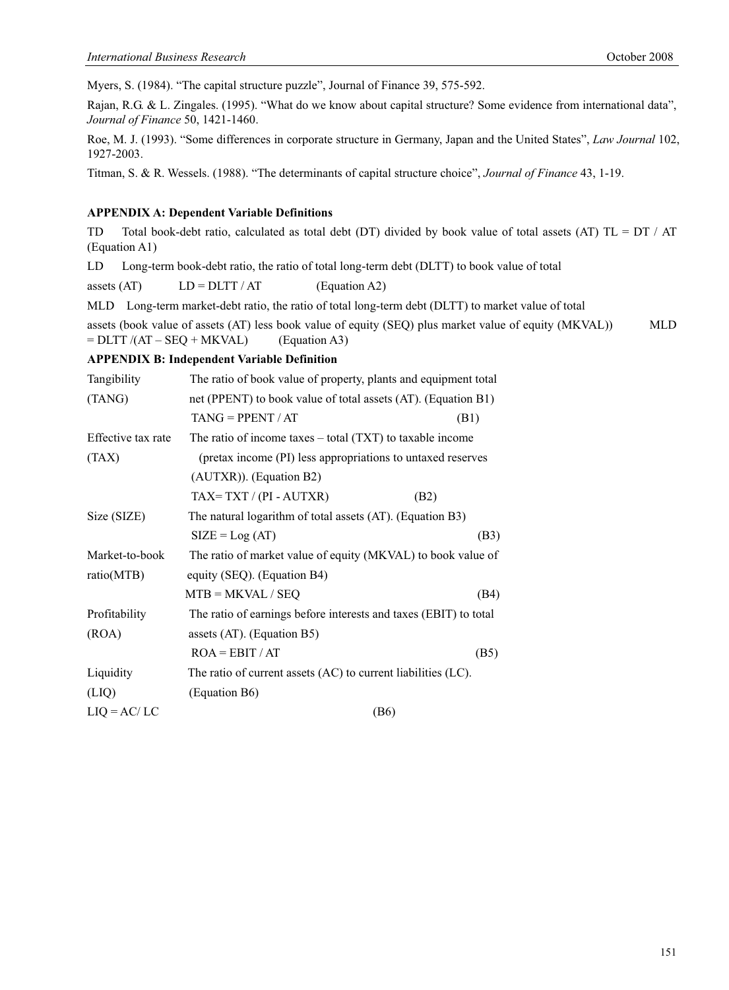Myers, S. (1984). "The capital structure puzzle", Journal of Finance 39, 575-592.

Rajan, R.G. & L. Zingales. (1995). "What do we know about capital structure? Some evidence from international data", *Journal of Finance* 50, 1421-1460.

Roe, M. J. (1993). "Some differences in corporate structure in Germany, Japan and the United States", *Law Journal* 102, 1927-2003.

Titman, S. & R. Wessels. (1988). "The determinants of capital structure choice", *Journal of Finance* 43, 1-19.

#### **APPENDIX A: Dependent Variable Definitions**

TD Total book-debt ratio, calculated as total debt (DT) divided by book value of total assets (AT) TL =  $DT / AT$ (Equation A1)

LD Long-term book-debt ratio, the ratio of total long-term debt (DLTT) to book value of total

assets  $(AT)$   $LD = DLTT / AT$   $(Equation A2)$ 

MLD Long-term market-debt ratio, the ratio of total long-term debt (DLTT) to market value of total

assets (book value of assets (AT) less book value of equity (SEQ) plus market value of equity (MKVAL)) MLD  $=$  DLTT  $/(AT - SEQ + MKVAL)$  (Equation A3)

| <b>APPENDIX B: Independent Variable Definition</b> |  |
|----------------------------------------------------|--|
|----------------------------------------------------|--|

| Tangibility        | The ratio of book value of property, plants and equipment total  |      |  |  |  |  |  |  |
|--------------------|------------------------------------------------------------------|------|--|--|--|--|--|--|
| (TANG)             | net (PPENT) to book value of total assets (AT). (Equation B1)    |      |  |  |  |  |  |  |
|                    | $TANG = PPENT / AT$                                              | (B1) |  |  |  |  |  |  |
| Effective tax rate | The ratio of income taxes $-$ total (TXT) to taxable income      |      |  |  |  |  |  |  |
| (TAX)              | (pretax income (PI) less appropriations to untaxed reserves      |      |  |  |  |  |  |  |
|                    | (AUTXR)). (Equation B2)                                          |      |  |  |  |  |  |  |
|                    | $TAX= TXT / (PI - AUTXR)$                                        | (B2) |  |  |  |  |  |  |
| Size (SIZE)        | The natural logarithm of total assets (AT). (Equation B3)        |      |  |  |  |  |  |  |
|                    | $SIZE = Log (AT)$                                                | (B3) |  |  |  |  |  |  |
| Market-to-book     | The ratio of market value of equity (MKVAL) to book value of     |      |  |  |  |  |  |  |
| ratio(MTB)         | equity (SEQ). (Equation B4)                                      |      |  |  |  |  |  |  |
|                    | $MTB = MKVAL$ / SEQ                                              | (B4) |  |  |  |  |  |  |
| Profitability      | The ratio of earnings before interests and taxes (EBIT) to total |      |  |  |  |  |  |  |
| (ROA)              | assets $(AT)$ . (Equation B5)                                    |      |  |  |  |  |  |  |
|                    | $ROA = EBIT / AT$                                                | (B5) |  |  |  |  |  |  |
| Liquidity          | The ratio of current assets (AC) to current liabilities (LC).    |      |  |  |  |  |  |  |
| (LIQ)              | (Equation B6)                                                    |      |  |  |  |  |  |  |
| $LIQ = AC/ LC$     |                                                                  | (B6) |  |  |  |  |  |  |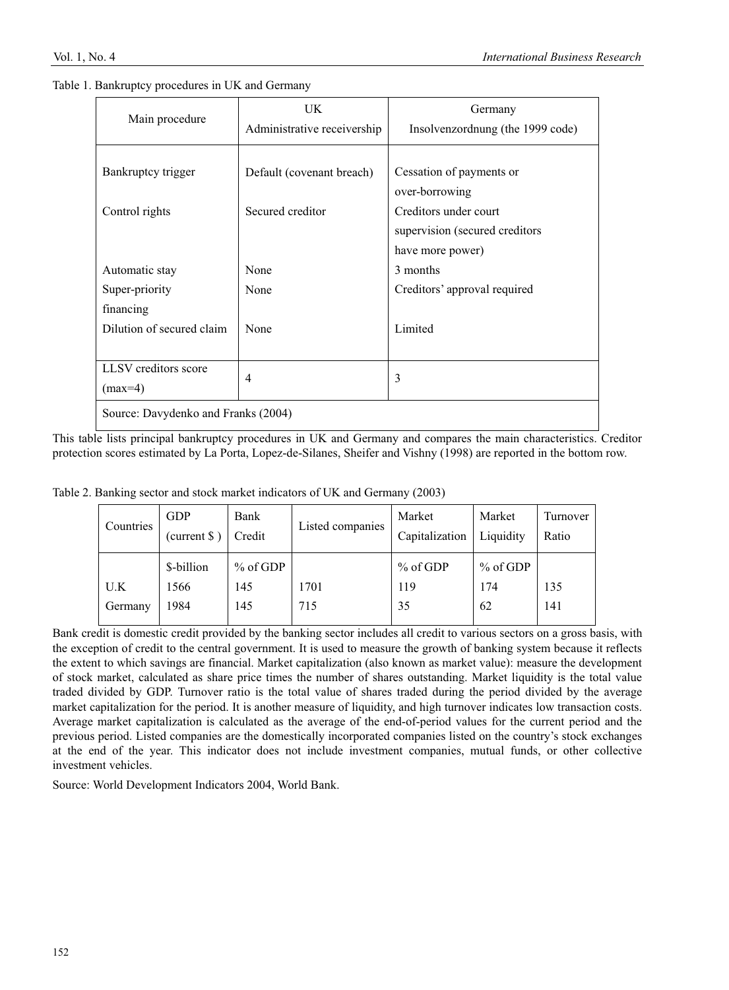|                                     | UK.                         | Germany                          |
|-------------------------------------|-----------------------------|----------------------------------|
| Main procedure                      | Administrative receivership | Insolvenzordnung (the 1999 code) |
|                                     |                             |                                  |
| Bankruptcy trigger                  | Default (covenant breach)   | Cessation of payments or         |
|                                     |                             | over-borrowing                   |
| Control rights                      | Secured creditor            | Creditors under court            |
|                                     |                             | supervision (secured creditors)  |
|                                     |                             | have more power)                 |
| Automatic stay                      | None                        | 3 months                         |
| Super-priority                      | None                        | Creditors' approval required     |
| financing                           |                             |                                  |
| Dilution of secured claim           | None                        | Limited                          |
|                                     |                             |                                  |
| <b>LLSV</b> creditors score         | $\overline{4}$              | 3                                |
| $(max=4)$                           |                             |                                  |
| Source: Davydenko and Franks (2004) |                             |                                  |

Table 1. Bankruptcy procedures in UK and Germany

This table lists principal bankruptcy procedures in UK and Germany and compares the main characteristics. Creditor protection scores estimated by La Porta, Lopez-de-Silanes, Sheifer and Vishny (1998) are reported in the bottom row.

Table 2. Banking sector and stock market indicators of UK and Germany (2003)

| Countries | <b>GDP</b><br>(current \$) | Bank<br>Credit | Listed companies | Market<br>Capitalization | Market<br>Liquidity | Turnover<br>Ratio |
|-----------|----------------------------|----------------|------------------|--------------------------|---------------------|-------------------|
|           | \$-billion                 | $%$ of GDP     |                  | $%$ of GDP               | $%$ of GDP          |                   |
| U.K       | 1566                       | 145            | 1701             | 119                      | 174                 | 135               |
| Germany   | 1984                       | 145            | 715              | 35                       | 62                  | 141               |

Bank credit is domestic credit provided by the banking sector includes all credit to various sectors on a gross basis, with the exception of credit to the central government. It is used to measure the growth of banking system because it reflects the extent to which savings are financial. Market capitalization (also known as market value): measure the development of stock market, calculated as share price times the number of shares outstanding. Market liquidity is the total value traded divided by GDP. Turnover ratio is the total value of shares traded during the period divided by the average market capitalization for the period. It is another measure of liquidity, and high turnover indicates low transaction costs. Average market capitalization is calculated as the average of the end-of-period values for the current period and the previous period. Listed companies are the domestically incorporated companies listed on the country's stock exchanges at the end of the year. This indicator does not include investment companies, mutual funds, or other collective investment vehicles.

Source: World Development Indicators 2004, World Bank.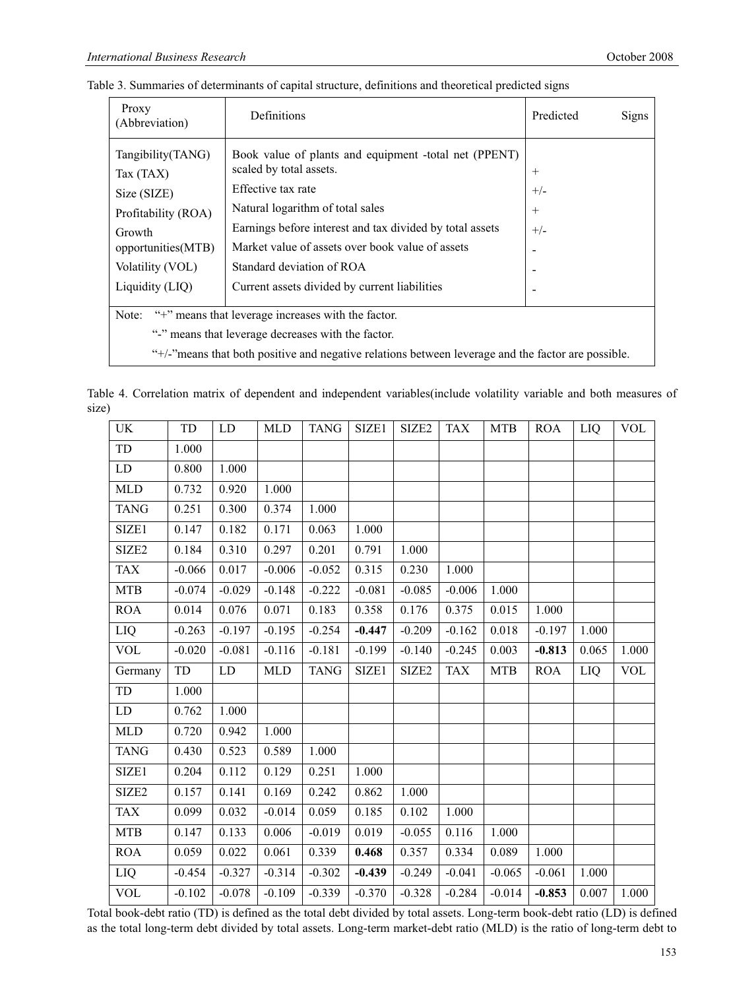| Table 3. Summaries of determinants of capital structure, definitions and theoretical predicted signs |  |  |  |  |
|------------------------------------------------------------------------------------------------------|--|--|--|--|
|------------------------------------------------------------------------------------------------------|--|--|--|--|

| Proxy<br>(Abbreviation)                                                                                                                         | Definitions                                                                                                                                                                                                                                                                                                                              | Predicted<br>Signs                 |
|-------------------------------------------------------------------------------------------------------------------------------------------------|------------------------------------------------------------------------------------------------------------------------------------------------------------------------------------------------------------------------------------------------------------------------------------------------------------------------------------------|------------------------------------|
| Tangibility (TANG)<br>Tax $(TAX)$<br>Size (SIZE)<br>Profitability (ROA)<br>Growth<br>opportunities (MTB)<br>Volatility (VOL)<br>Liquidity (LIQ) | Book value of plants and equipment -total net (PPENT)<br>scaled by total assets.<br>Effective tax rate<br>Natural logarithm of total sales<br>Earnings before interest and tax divided by total assets<br>Market value of assets over book value of assets<br>Standard deviation of ROA<br>Current assets divided by current liabilities | $^{+}$<br>$+/-$<br>$^{+}$<br>$+/-$ |
| Note:                                                                                                                                           | "+" means that leverage increases with the factor.                                                                                                                                                                                                                                                                                       |                                    |
|                                                                                                                                                 | "-" means that leverage decreases with the factor.                                                                                                                                                                                                                                                                                       |                                    |
|                                                                                                                                                 | "+/-"means that both positive and negative relations between leverage and the factor are possible.                                                                                                                                                                                                                                       |                                    |

|       |  |  |  | Table 4. Correlation matrix of dependent and independent variables (include volatility variable and both measures of |  |  |  |
|-------|--|--|--|----------------------------------------------------------------------------------------------------------------------|--|--|--|
| size) |  |  |  |                                                                                                                      |  |  |  |

| <b>UK</b>   | TD       | LD       | MLD        | <b>TANG</b> | SIZE1    | SIZE2    | <b>TAX</b> | <b>MTB</b> | <b>ROA</b> | LIQ   | <b>VOL</b> |
|-------------|----------|----------|------------|-------------|----------|----------|------------|------------|------------|-------|------------|
| TD          | 1.000    |          |            |             |          |          |            |            |            |       |            |
| LD          | 0.800    | 1.000    |            |             |          |          |            |            |            |       |            |
| <b>MLD</b>  | 0.732    | 0.920    | 1.000      |             |          |          |            |            |            |       |            |
| <b>TANG</b> | 0.251    | 0.300    | 0.374      | 1.000       |          |          |            |            |            |       |            |
| SIZE1       | 0.147    | 0.182    | 0.171      | 0.063       | 1.000    |          |            |            |            |       |            |
| SIZE2       | 0.184    | 0.310    | 0.297      | 0.201       | 0.791    | 1.000    |            |            |            |       |            |
| <b>TAX</b>  | $-0.066$ | 0.017    | $-0.006$   | $-0.052$    | 0.315    | 0.230    | 1.000      |            |            |       |            |
| <b>MTB</b>  | $-0.074$ | $-0.029$ | $-0.148$   | $-0.222$    | $-0.081$ | $-0.085$ | $-0.006$   | 1.000      |            |       |            |
| <b>ROA</b>  | 0.014    | 0.076    | 0.071      | 0.183       | 0.358    | 0.176    | 0.375      | 0.015      | 1.000      |       |            |
| LIQ         | $-0.263$ | $-0.197$ | $-0.195$   | $-0.254$    | $-0.447$ | $-0.209$ | $-0.162$   | 0.018      | $-0.197$   | 1.000 |            |
| <b>VOL</b>  | $-0.020$ | $-0.081$ | $-0.116$   | $-0.181$    | $-0.199$ | $-0.140$ | $-0.245$   | 0.003      | $-0.813$   | 0.065 | 1.000      |
| Germany     | TD       | LD       | <b>MLD</b> | <b>TANG</b> | SIZE1    | SIZE2    | <b>TAX</b> | <b>MTB</b> | <b>ROA</b> | LIQ   | <b>VOL</b> |
| TD          | 1.000    |          |            |             |          |          |            |            |            |       |            |
| LD          | 0.762    | 1.000    |            |             |          |          |            |            |            |       |            |
| <b>MLD</b>  | 0.720    | 0.942    | 1.000      |             |          |          |            |            |            |       |            |
| <b>TANG</b> | 0.430    | 0.523    | 0.589      | 1.000       |          |          |            |            |            |       |            |
| SIZE1       | 0.204    | 0.112    | 0.129      | 0.251       | 1.000    |          |            |            |            |       |            |
| SIZE2       | 0.157    | 0.141    | 0.169      | 0.242       | 0.862    | 1.000    |            |            |            |       |            |
| <b>TAX</b>  | 0.099    | 0.032    | $-0.014$   | 0.059       | 0.185    | 0.102    | 1.000      |            |            |       |            |
| <b>MTB</b>  | 0.147    | 0.133    | 0.006      | $-0.019$    | 0.019    | $-0.055$ | 0.116      | 1.000      |            |       |            |
| <b>ROA</b>  | 0.059    | 0.022    | 0.061      | 0.339       | 0.468    | 0.357    | 0.334      | 0.089      | 1.000      |       |            |
| LIQ         | $-0.454$ | $-0.327$ | $-0.314$   | $-0.302$    | $-0.439$ | $-0.249$ | $-0.041$   | $-0.065$   | $-0.061$   | 1.000 |            |
| <b>VOL</b>  | $-0.102$ | $-0.078$ | $-0.109$   | $-0.339$    | $-0.370$ | $-0.328$ | $-0.284$   | $-0.014$   | $-0.853$   | 0.007 | 1.000      |

Total book-debt ratio (TD) is defined as the total debt divided by total assets. Long-term book-debt ratio (LD) is defined as the total long-term debt divided by total assets. Long-term market-debt ratio (MLD) is the ratio of long-term debt to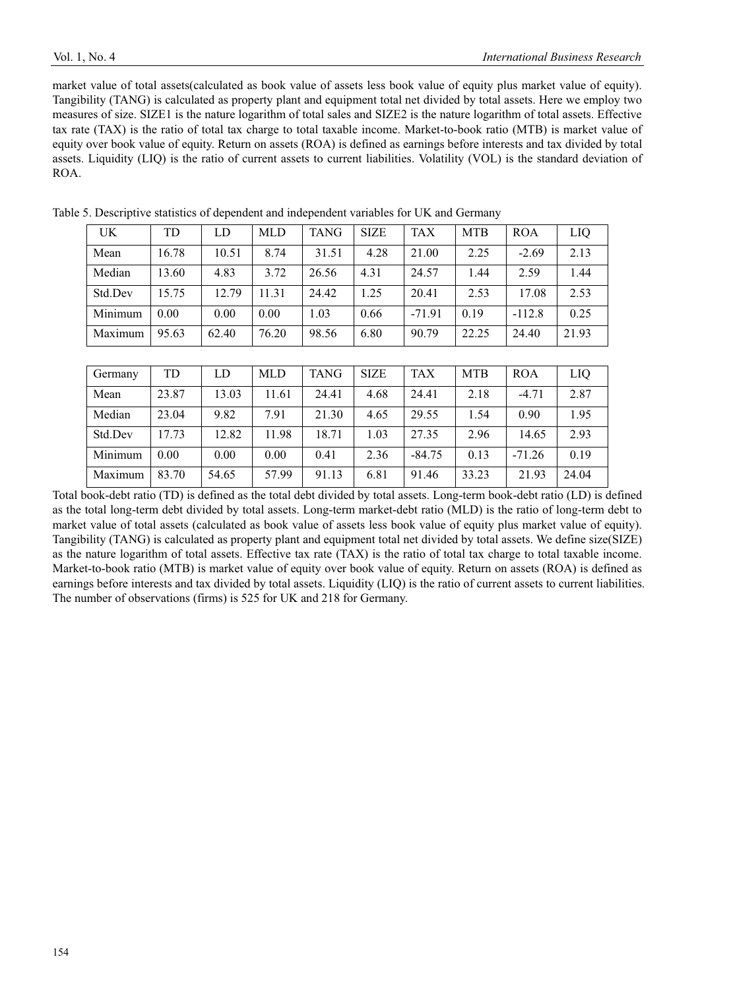market value of total assets(calculated as book value of assets less book value of equity plus market value of equity). Tangibility (TANG) is calculated as property plant and equipment total net divided by total assets. Here we employ two measures of size. SIZE1 is the nature logarithm of total sales and SIZE2 is the nature logarithm of total assets. Effective tax rate (TAX) is the ratio of total tax charge to total taxable income. Market-to-book ratio (MTB) is market value of equity over book value of equity. Return on assets (ROA) is defined as earnings before interests and tax divided by total assets. Liquidity (LIQ) is the ratio of current assets to current liabilities. Volatility (VOL) is the standard deviation of ROA.

| UK      | TD    | LD    | <b>MLD</b> | <b>TANG</b> | <b>SIZE</b> | <b>TAX</b> | <b>MTB</b> | <b>ROA</b> | LIQ   |
|---------|-------|-------|------------|-------------|-------------|------------|------------|------------|-------|
| Mean    | 16.78 | 10.51 | 8.74       | 31.51       | 4.28        | 21.00      | 2.25       | $-2.69$    | 2.13  |
| Median  | 13.60 | 4.83  | 3.72       | 26.56       | 4.31        | 24.57      | 1.44       | 2.59       | 1.44  |
| Std.Dev | 15.75 | 12.79 | 11.31      | 24.42       | 1.25        | 20.41      | 2.53       | 17.08      | 2.53  |
| Minimum | 0.00  | 0.00  | 0.00       | 1.03        | 0.66        | $-71.91$   | 0.19       | $-112.8$   | 0.25  |
| Maximum | 95.63 | 62.40 | 76.20      | 98.56       | 6.80        | 90.79      | 22.25      | 24.40      | 21.93 |

Table 5. Descriptive statistics of dependent and independent variables for UK and Germany

| Germany | TD             | LD    | <b>MLD</b> | <b>TANG</b> | <b>SIZE</b> | <b>TAX</b> | <b>MTB</b> | <b>ROA</b> | LIQ   |
|---------|----------------|-------|------------|-------------|-------------|------------|------------|------------|-------|
| Mean    | 23.87          | 13.03 | 11.61      | 24.41       | 4.68        | 24.41      | 2.18       | $-4.71$    | 2.87  |
| Median  | 23.04          | 9.82  | 7.91       | 21.30       | 4.65        | 29.55      | 1.54       | 0.90       | 1.95  |
| Std.Dev | 17.73          | 12.82 | 11.98      | 18.71       | 1.03        | 27.35      | 2.96       | 14.65      | 2.93  |
| Minimum | $0.00^{\circ}$ | 0.00  | 0.00       | 0.41        | 2.36        | $-84.75$   | 0.13       | $-71.26$   | 0.19  |
| Maximum | 83.70          | 54.65 | 57.99      | 91.13       | 6.81        | 91.46      | 33.23      | 21.93      | 24.04 |

Total book-debt ratio (TD) is defined as the total debt divided by total assets. Long-term book-debt ratio (LD) is defined as the total long-term debt divided by total assets. Long-term market-debt ratio (MLD) is the ratio of long-term debt to market value of total assets (calculated as book value of assets less book value of equity plus market value of equity). Tangibility (TANG) is calculated as property plant and equipment total net divided by total assets. We define size(SIZE) as the nature logarithm of total assets. Effective tax rate (TAX) is the ratio of total tax charge to total taxable income. Market-to-book ratio (MTB) is market value of equity over book value of equity. Return on assets (ROA) is defined as earnings before interests and tax divided by total assets. Liquidity (LIQ) is the ratio of current assets to current liabilities. The number of observations (firms) is 525 for UK and 218 for Germany.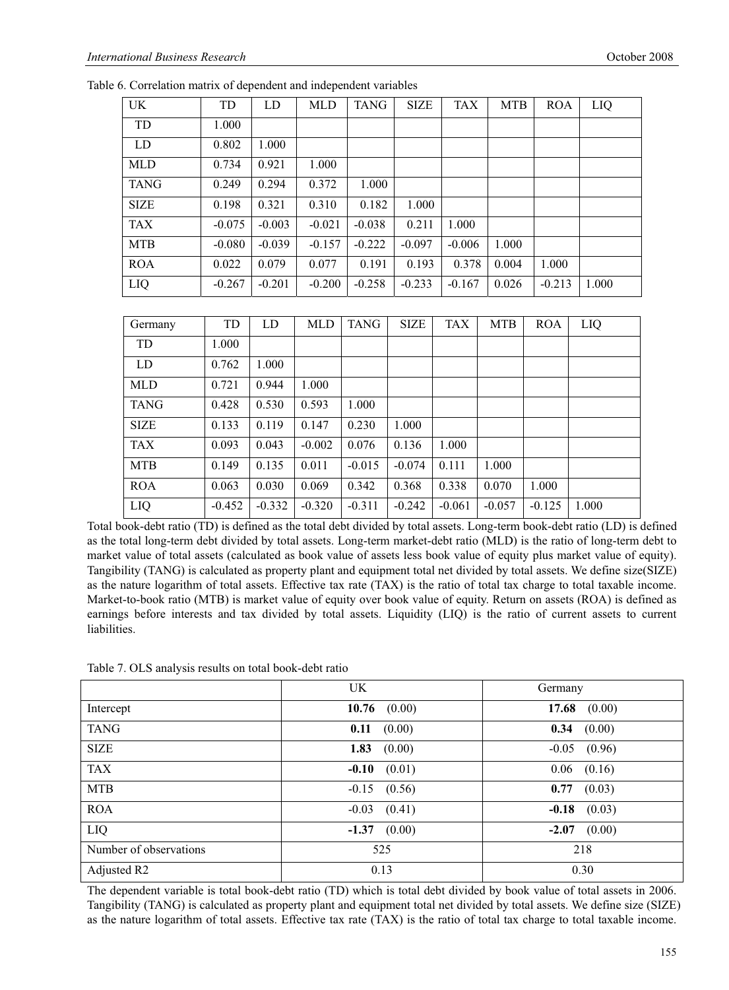| UK.         | TD       | LD       | <b>MLD</b> | <b>TANG</b> | <b>SIZE</b> | <b>TAX</b> | <b>MTB</b> | <b>ROA</b> | LIQ   |
|-------------|----------|----------|------------|-------------|-------------|------------|------------|------------|-------|
| TD          | 1.000    |          |            |             |             |            |            |            |       |
| LD          | 0.802    | 1.000    |            |             |             |            |            |            |       |
| <b>MLD</b>  | 0.734    | 0.921    | 1.000      |             |             |            |            |            |       |
| <b>TANG</b> | 0.249    | 0.294    | 0.372      | 1.000       |             |            |            |            |       |
| <b>SIZE</b> | 0.198    | 0.321    | 0.310      | 0.182       | 1.000       |            |            |            |       |
| <b>TAX</b>  | $-0.075$ | $-0.003$ | $-0.021$   | $-0.038$    | 0.211       | 1.000      |            |            |       |
| <b>MTB</b>  | $-0.080$ | $-0.039$ | $-0.157$   | $-0.222$    | $-0.097$    | $-0.006$   | 1.000      |            |       |
| <b>ROA</b>  | 0.022    | 0.079    | 0.077      | 0.191       | 0.193       | 0.378      | 0.004      | 1.000      |       |
| LIQ         | $-0.267$ | $-0.201$ | $-0.200$   | $-0.258$    | $-0.233$    | $-0.167$   | 0.026      | $-0.213$   | 1.000 |
|             |          |          |            |             |             |            |            |            |       |
| Germany     | TD       | LD       | <b>MLD</b> | <b>TANG</b> | <b>SIZE</b> | <b>TAX</b> | <b>MTB</b> | <b>ROA</b> | LIQ   |

Table 6. Correlation matrix of dependent and independent variables

| Germany     | TD       | LD       | <b>MLD</b> | <b>TANG</b> | <b>SIZE</b> | <b>TAX</b> | <b>MTB</b> | <b>ROA</b> | LIQ   |
|-------------|----------|----------|------------|-------------|-------------|------------|------------|------------|-------|
| TD          | 1.000    |          |            |             |             |            |            |            |       |
| LD          | 0.762    | 1.000    |            |             |             |            |            |            |       |
| <b>MLD</b>  | 0.721    | 0.944    | 1.000      |             |             |            |            |            |       |
| <b>TANG</b> | 0.428    | 0.530    | 0.593      | 1.000       |             |            |            |            |       |
| <b>SIZE</b> | 0.133    | 0.119    | 0.147      | 0.230       | 1.000       |            |            |            |       |
| <b>TAX</b>  | 0.093    | 0.043    | $-0.002$   | 0.076       | 0.136       | 1.000      |            |            |       |
| <b>MTB</b>  | 0.149    | 0.135    | 0.011      | $-0.015$    | $-0.074$    | 0.111      | 1.000      |            |       |
| <b>ROA</b>  | 0.063    | 0.030    | 0.069      | 0.342       | 0.368       | 0.338      | 0.070      | 1.000      |       |
| LIQ         | $-0.452$ | $-0.332$ | $-0.320$   | $-0.311$    | $-0.242$    | $-0.061$   | $-0.057$   | $-0.125$   | 1.000 |

Total book-debt ratio (TD) is defined as the total debt divided by total assets. Long-term book-debt ratio (LD) is defined as the total long-term debt divided by total assets. Long-term market-debt ratio (MLD) is the ratio of long-term debt to market value of total assets (calculated as book value of assets less book value of equity plus market value of equity). Tangibility (TANG) is calculated as property plant and equipment total net divided by total assets. We define size(SIZE) as the nature logarithm of total assets. Effective tax rate (TAX) is the ratio of total tax charge to total taxable income. Market-to-book ratio (MTB) is market value of equity over book value of equity. Return on assets (ROA) is defined as earnings before interests and tax divided by total assets. Liquidity (LIQ) is the ratio of current assets to current liabilities.

|  |  |  |  | Table 7. OLS analysis results on total book-debt ratio |
|--|--|--|--|--------------------------------------------------------|
|--|--|--|--|--------------------------------------------------------|

|                        | <b>UK</b>        | Germany           |
|------------------------|------------------|-------------------|
| Intercept              | 10.76 $(0.00)$   | 17.68 $(0.00)$    |
| <b>TANG</b>            | $0.11$ $(0.00)$  | (0.00)<br>0.34    |
| <b>SIZE</b>            | 1.83 $(0.00)$    | (0.96)<br>$-0.05$ |
| <b>TAX</b>             | $-0.10$ $(0.01)$ | $0.06$ $(0.16)$   |
| <b>MTB</b>             | $-0.15$ $(0.56)$ | 0.77<br>(0.03)    |
| <b>ROA</b>             | $-0.03$ $(0.41)$ | $-0.18$<br>(0.03) |
| LIQ                    | $-1.37$ (0.00)   | (0.00)<br>$-2.07$ |
| Number of observations | 525              | 218               |
| Adjusted R2            | 0.13             | 0.30              |

The dependent variable is total book-debt ratio (TD) which is total debt divided by book value of total assets in 2006. Tangibility (TANG) is calculated as property plant and equipment total net divided by total assets. We define size (SIZE) as the nature logarithm of total assets. Effective tax rate (TAX) is the ratio of total tax charge to total taxable income.